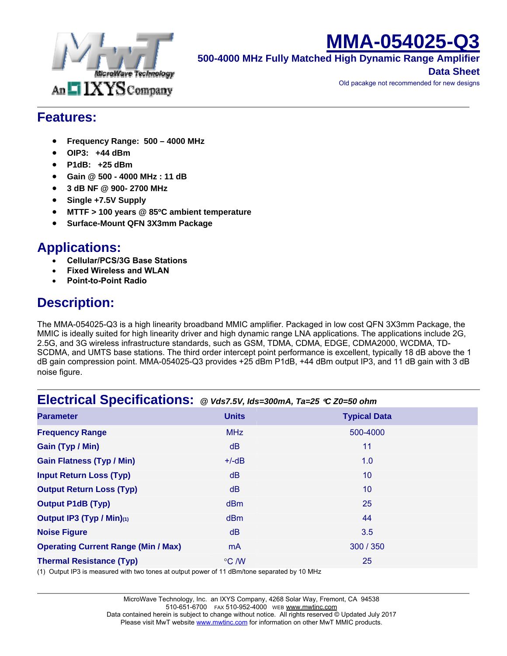

# **MMA-054025-Q3**

**500-4000 MHz Fully Matched High Dynamic Range Amplifier**

**Data Sheet**

Old pacakge not recommended for new designs

#### **Features:**

- **Frequency Range: 500 4000 MHz**
- **OIP3: +44 dBm**
- **P1dB: +25 dBm**
- **Gain @ 500 4000 MHz : 11 dB**
- **3 dB NF @ 900- 2700 MHz**
- **Single +7.5V Supply**
- **MTTF > 100 years @ 85ºC ambient temperature**
- **Surface-Mount QFN 3X3mm Package**

#### **Applications:**

- **Cellular/PCS/3G Base Stations**
- **Fixed Wireless and WLAN**
- **Point-to-Point Radio**

### **Description:**

The MMA-054025-Q3 is a high linearity broadband MMIC amplifier. Packaged in low cost QFN 3X3mm Package, the MMIC is ideally suited for high linearity driver and high dynamic range LNA applications. The applications include 2G, 2.5G, and 3G wireless infrastructure standards, such as GSM, TDMA, CDMA, EDGE, CDMA2000, WCDMA, TD-SCDMA, and UMTS base stations. The third order intercept point performance is excellent, typically 18 dB above the 1 dB gain compression point. MMA-054025-Q3 provides +25 dBm P1dB, +44 dBm output IP3, and 11 dB gain with 3 dB noise figure.

#### **Electrical Specifications:** *@ Vds7.5V, Ids=300mA, Ta=25* °*C Z0=50 ohm*

| <b>Parameter</b>                                                                                                                                                                                                                                                                                                                                     | <b>Units</b> | <b>Typical Data</b> |
|------------------------------------------------------------------------------------------------------------------------------------------------------------------------------------------------------------------------------------------------------------------------------------------------------------------------------------------------------|--------------|---------------------|
| <b>Frequency Range</b>                                                                                                                                                                                                                                                                                                                               | <b>MHz</b>   | 500-4000            |
| Gain (Typ / Min)                                                                                                                                                                                                                                                                                                                                     | dB           | 11                  |
| <b>Gain Flatness (Typ / Min)</b>                                                                                                                                                                                                                                                                                                                     | $+/-dB$      | 1.0                 |
| <b>Input Return Loss (Typ)</b>                                                                                                                                                                                                                                                                                                                       | dB           | 10                  |
| <b>Output Return Loss (Typ)</b>                                                                                                                                                                                                                                                                                                                      | dB           | 10                  |
| <b>Output P1dB (Typ)</b>                                                                                                                                                                                                                                                                                                                             | dBm          | 25                  |
| Output IP3 (Typ / Min)(1)                                                                                                                                                                                                                                                                                                                            | dBm          | 44                  |
| <b>Noise Figure</b>                                                                                                                                                                                                                                                                                                                                  | dB           | 3.5                 |
| <b>Operating Current Range (Min / Max)</b>                                                                                                                                                                                                                                                                                                           | mA           | 300 / 350           |
| <b>Thermal Resistance (Typ)</b><br>$\mathcal{L}$ and $\mathcal{L}$ and $\mathcal{L}$ and $\mathcal{L}$ and $\mathcal{L}$ and $\mathcal{L}$ and $\mathcal{L}$ and $\mathcal{L}$ and $\mathcal{L}$ and $\mathcal{L}$ and $\mathcal{L}$ and $\mathcal{L}$ and $\mathcal{L}$ and $\mathcal{L}$ and $\mathcal{L}$ and $\mathcal{L}$ and $\mathcal{L}$ and | °C /W        | 25                  |

(1) Output IP3 is measured with two tones at output power of 11 dBm/tone separated by 10 MHz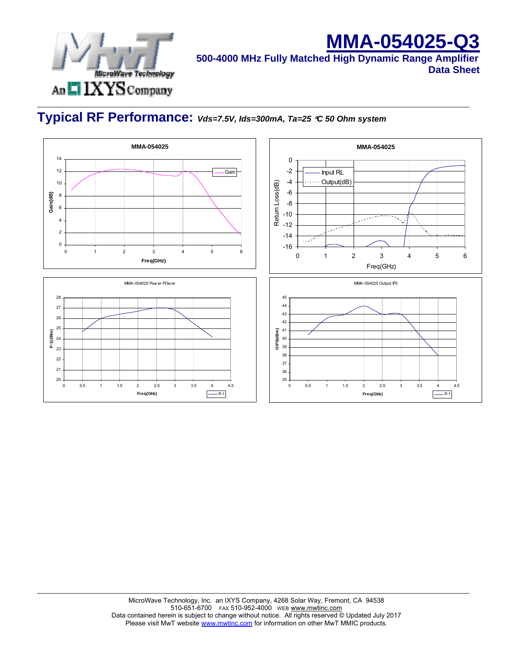

## **MMA-054025-Q3**

**500-4000 MHz Fully Matched High Dynamic Range Amplifier Data Sheet**

### **Typical RF Performance:** *Vds=7.5V, Ids=300mA, Ta=25* °*C 50 Ohm system*

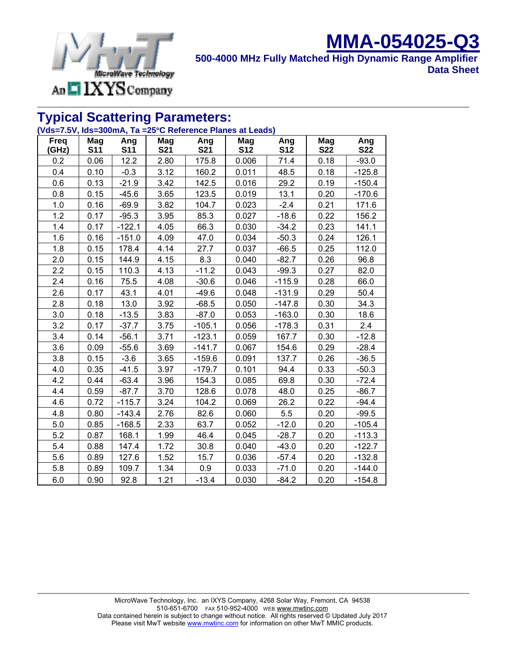

#### **MMA-054025-Q3 500-4000 MHz Fully Matched High Dynamic Range Amplifier Data Sheet**

#### **Typical Scattering Parameters:**

#### **(Vds=7.5V, Ids=300mA, Ta =25**°**C Reference Planes at Leads)**

| <b>Freq</b><br>(GHz) | Mag<br><b>S11</b> | Ang<br><b>S11</b> | Mag<br><b>S21</b> | Ang<br><b>S21</b> | Mag<br><b>S12</b> | Ang<br><b>S12</b> | Mag<br><b>S22</b> | Ang<br><b>S22</b> |
|----------------------|-------------------|-------------------|-------------------|-------------------|-------------------|-------------------|-------------------|-------------------|
| 0.2                  | 0.06              | 12.2              | 2.80              | 175.8             | 0.006             | 71.4              | 0.18              | $-93.0$           |
| 0.4                  | 0.10              | $-0.3$            | 3.12              | 160.2             | 0.011             | 48.5              | 0.18              | $-125.8$          |
| 0.6                  | 0.13              | $-21.9$           | 3.42              | 142.5             | 0.016             | 29.2              | 0.19              | $-150.4$          |
| 0.8                  | 0.15              | $-45.6$           | 3.65              | 123.5             | 0.019             | 13.1              | 0.20              | $-170.6$          |
| 1.0                  | 0.16              | $-69.9$           | 3.82              | 104.7             | 0.023             | $-2.4$            | 0.21              | 171.6             |
| 1.2                  | 0.17              | $-95.3$           | 3.95              | 85.3              | 0.027             | $-18.6$           | 0.22              | 156.2             |
| 1.4                  | 0.17              | $-122.1$          | 4.05              | 66.3              | 0.030             | $-34.2$           | 0.23              | 141.1             |
| 1.6                  | 0.16              | $-151.0$          | 4.09              | 47.0              | 0.034             | $-50.3$           | 0.24              | 126.1             |
| 1.8                  | 0.15              | 178.4             | 4.14              | 27.7              | 0.037             | $-66.5$           | 0.25              | 112.0             |
| 2.0                  | 0.15              | 144.9             | 4.15              | 8.3               | 0.040             | $-82.7$           | 0.26              | 96.8              |
| 2.2                  | 0.15              | 110.3             | 4.13              | $-11.2$           | 0.043             | $-99.3$           | 0.27              | 82.0              |
| 2.4                  | 0.16              | 75.5              | 4.08              | $-30.6$           | 0.046             | $-115.9$          | 0.28              | 66.0              |
| 2.6                  | 0.17              | 43.1              | 4.01              | $-49.6$           | 0.048             | $-131.9$          | 0.29              | 50.4              |
| 2.8                  | 0.18              | 13.0              | 3.92              | $-68.5$           | 0.050             | $-147.8$          | 0.30              | 34.3              |
| 3.0                  | 0.18              | $-13.5$           | 3.83              | $-87.0$           | 0.053             | $-163.0$          | 0.30              | 18.6              |
| 3.2                  | 0.17              | $-37.7$           | 3.75              | $-105.1$          | 0.056             | $-178.3$          | 0.31              | 2.4               |
| 3.4                  | 0.14              | $-56.1$           | 3.71              | $-123.1$          | 0.059             | 167.7             | 0.30              | $-12.8$           |
| 3.6                  | 0.09              | $-55.6$           | 3.69              | $-141.7$          | 0.067             | 154.6             | 0.29              | $-28.4$           |
| 3.8                  | 0.15              | $-3.6$            | 3.65              | $-159.6$          | 0.091             | 137.7             | 0.26              | $-36.5$           |
| 4.0                  | 0.35              | $-41.5$           | 3.97              | $-179.7$          | 0.101             | 94.4              | 0.33              | $-50.3$           |
| 4.2                  | 0.44              | $-63.4$           | 3.96              | 154.3             | 0.085             | 69.8              | 0.30              | $-72.4$           |
| 4.4                  | 0.59              | $-87.7$           | 3.70              | 128.6             | 0.078             | 48.0              | 0.25              | $-86.7$           |
| 4.6                  | 0.72              | $-115.7$          | 3.24              | 104.2             | 0.069             | 26.2              | 0.22              | $-94.4$           |
| 4.8                  | 0.80              | $-143.4$          | 2.76              | 82.6              | 0.060             | 5.5               | 0.20              | $-99.5$           |
| 5.0                  | 0.85              | $-168.5$          | 2.33              | 63.7              | 0.052             | $-12.0$           | 0.20              | $-105.4$          |
| 5.2                  | 0.87              | 168.1             | 1.99              | 46.4              | 0.045             | $-28.7$           | 0.20              | $-113.3$          |
| 5.4                  | 0.88              | 147.4             | 1.72              | 30.8              | 0.040             | $-43.0$           | 0.20              | $-122.7$          |
| 5.6                  | 0.89              | 127.6             | 1.52              | 15.7              | 0.036             | $-57.4$           | 0.20              | $-132.8$          |
| 5.8                  | 0.89              | 109.7             | 1.34              | 0.9               | 0.033             | $-71.0$           | 0.20              | $-144.0$          |
| 6.0                  | 0.90              | 92.8              | 1.21              | $-13.4$           | 0.030             | $-84.2$           | 0.20              | $-154.8$          |